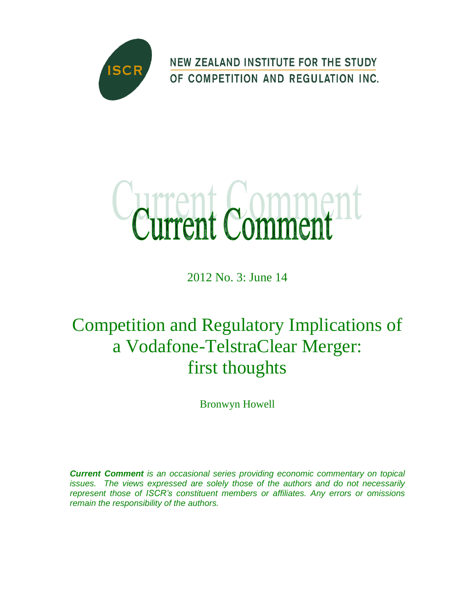

**NEW ZEALAND INSTITUTE FOR THE STUDY** OF COMPETITION AND REGULATION INC.



2012 No. 3: June 14

# Competition and Regulatory Implications of a Vodafone-TelstraClear Merger: first thoughts

Bronwyn Howell

*Current Comment is an occasional series providing economic commentary on topical issues. The views expressed are solely those of the authors and do not necessarily represent those of ISCR's constituent members or affiliates. Any errors or omissions remain the responsibility of the authors.*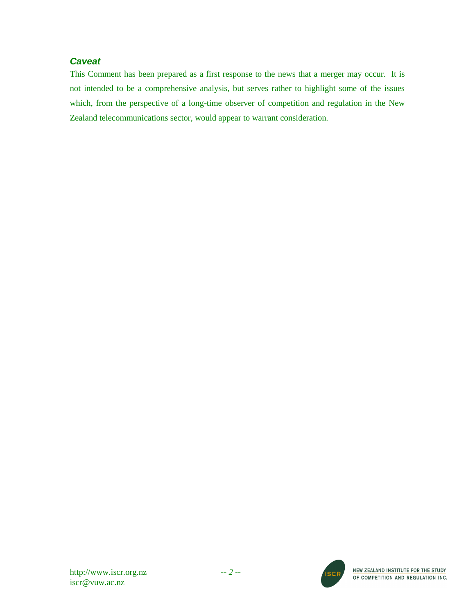# *Caveat*

This Comment has been prepared as a first response to the news that a merger may occur. It is not intended to be a comprehensive analysis, but serves rather to highlight some of the issues which, from the perspective of a long-time observer of competition and regulation in the New Zealand telecommunications sector, would appear to warrant consideration.



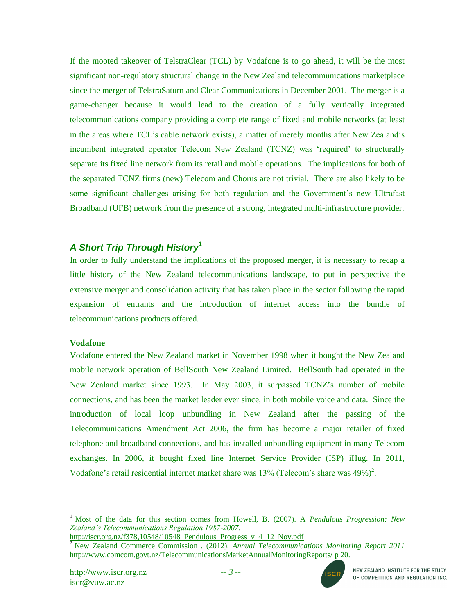If the mooted takeover of TelstraClear (TCL) by Vodafone is to go ahead, it will be the most significant non-regulatory structural change in the New Zealand telecommunications marketplace since the merger of TelstraSaturn and Clear Communications in December 2001. The merger is a game-changer because it would lead to the creation of a fully vertically integrated telecommunications company providing a complete range of fixed and mobile networks (at least in the areas where TCL"s cable network exists), a matter of merely months after New Zealand"s incumbent integrated operator Telecom New Zealand (TCNZ) was 'required' to structurally separate its fixed line network from its retail and mobile operations. The implications for both of the separated TCNZ firms (new) Telecom and Chorus are not trivial. There are also likely to be some significant challenges arising for both regulation and the Government's new Ultrafast Broadband (UFB) network from the presence of a strong, integrated multi-infrastructure provider.

# *A Short Trip Through History<sup>1</sup>*

In order to fully understand the implications of the proposed merger, it is necessary to recap a little history of the New Zealand telecommunications landscape, to put in perspective the extensive merger and consolidation activity that has taken place in the sector following the rapid expansion of entrants and the introduction of internet access into the bundle of telecommunications products offered.

## **Vodafone**

 $\overline{a}$ 

Vodafone entered the New Zealand market in November 1998 when it bought the New Zealand mobile network operation of BellSouth New Zealand Limited. BellSouth had operated in the New Zealand market since 1993. In May 2003, it surpassed TCNZ"s number of mobile connections, and has been the market leader ever since, in both mobile voice and data. Since the introduction of local loop unbundling in New Zealand after the passing of the Telecommunications Amendment Act 2006, the firm has become a major retailer of fixed telephone and broadband connections, and has installed unbundling equipment in many Telecom exchanges. In 2006, it bought fixed line Internet Service Provider (ISP) iHug. In 2011, Vodafone's retail residential internet market share was  $13\%$  (Telecom's share was  $49\%)^2$ .



<sup>1</sup> Most of the data for this section comes from Howell, B. (2007). A *Pendulous Progression: New Zealand's Telecommunications Regulation 1987-2007*.

[http://iscr.org.nz/f378,10548/10548\\_Pendulous\\_Progress\\_v\\_4\\_12\\_Nov.pdf](http://iscr.org.nz/f378,10548/10548_Pendulous_Progress_v_4_12_Nov.pdf)

<sup>2</sup> New Zealand Commerce Commission . (2012). *Annual Telecommunications Monitoring Report 2011* <http://www.comcom.govt.nz/TelecommunicationsMarketAnnualMonitoringReports/> p 20.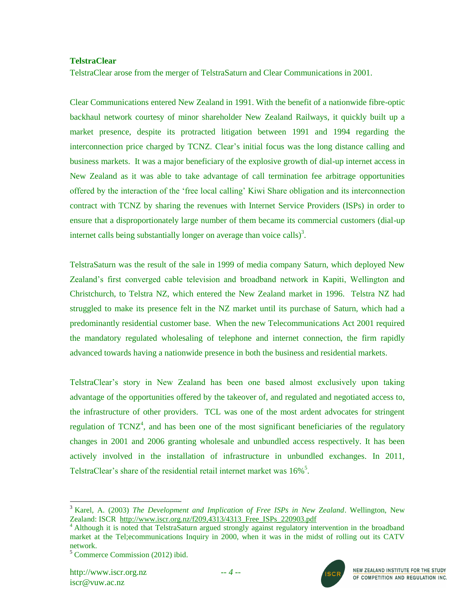## **TelstraClear**

TelstraClear arose from the merger of TelstraSaturn and Clear Communications in 2001.

Clear Communications entered New Zealand in 1991. With the benefit of a nationwide fibre-optic backhaul network courtesy of minor shareholder New Zealand Railways, it quickly built up a market presence, despite its protracted litigation between 1991 and 1994 regarding the interconnection price charged by TCNZ. Clear"s initial focus was the long distance calling and business markets. It was a major beneficiary of the explosive growth of dial-up internet access in New Zealand as it was able to take advantage of call termination fee arbitrage opportunities offered by the interaction of the "free local calling" Kiwi Share obligation and its interconnection contract with TCNZ by sharing the revenues with Internet Service Providers (ISPs) in order to ensure that a disproportionately large number of them became its commercial customers (dial-up internet calls being substantially longer on average than voice calls)<sup>3</sup>.

TelstraSaturn was the result of the sale in 1999 of media company Saturn, which deployed New Zealand"s first converged cable television and broadband network in Kapiti, Wellington and Christchurch, to Telstra NZ, which entered the New Zealand market in 1996. Telstra NZ had struggled to make its presence felt in the NZ market until its purchase of Saturn, which had a predominantly residential customer base. When the new Telecommunications Act 2001 required the mandatory regulated wholesaling of telephone and internet connection, the firm rapidly advanced towards having a nationwide presence in both the business and residential markets.

TelstraClear"s story in New Zealand has been one based almost exclusively upon taking advantage of the opportunities offered by the takeover of, and regulated and negotiated access to, the infrastructure of other providers. TCL was one of the most ardent advocates for stringent regulation of  $TCNZ^4$ , and has been one of the most significant beneficiaries of the regulatory changes in 2001 and 2006 granting wholesale and unbundled access respectively. It has been actively involved in the installation of infrastructure in unbundled exchanges. In 2011, TelstraClear's share of the residential retail internet market was 16%<sup>5</sup>.

l



<sup>3</sup> Karel, A. (2003) *The Development and Implication of Free ISPs in New Zealand*. Wellington, New Zealand: ISCR [http://www.iscr.org.nz/f209,4313/4313\\_Free\\_ISPs\\_220903.pdf](http://www.iscr.org.nz/f209,4313/4313_Free_ISPs_220903.pdf)

<sup>&</sup>lt;sup>4</sup> Although it is noted that TelstraSaturn argued strongly against regulatory intervention in the broadband market at the Tel;ecommunications Inquiry in 2000, when it was in the midst of rolling out its CATV network.

<sup>5</sup> Commerce Commission (2012) ibid.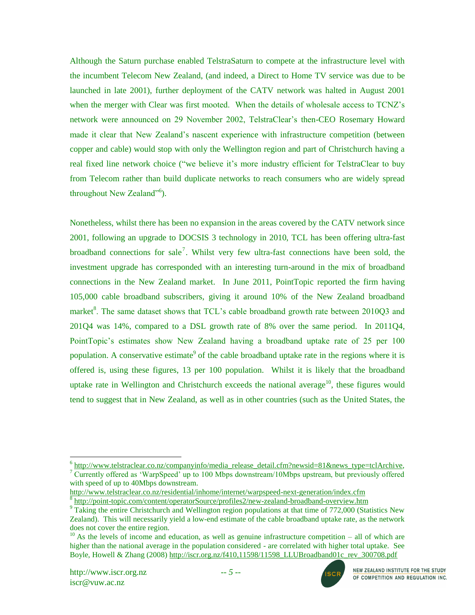Although the Saturn purchase enabled TelstraSaturn to compete at the infrastructure level with the incumbent Telecom New Zealand, (and indeed, a Direct to Home TV service was due to be launched in late 2001), further deployment of the CATV network was halted in August 2001 when the merger with Clear was first mooted. When the details of wholesale access to TCNZ's network were announced on 29 November 2002, TelstraClear"s then-CEO Rosemary Howard made it clear that New Zealand"s nascent experience with infrastructure competition (between copper and cable) would stop with only the Wellington region and part of Christchurch having a real fixed line network choice ("we believe it's more industry efficient for TelstraClear to buy from Telecom rather than build duplicate networks to reach consumers who are widely spread throughout New Zealand"<sup>6</sup>).

Nonetheless, whilst there has been no expansion in the areas covered by the CATV network since 2001, following an upgrade to DOCSIS 3 technology in 2010, TCL has been offering ultra-fast broadband connections for sale<sup>7</sup>. Whilst very few ultra-fast connections have been sold, the investment upgrade has corresponded with an interesting turn-around in the mix of broadband connections in the New Zealand market. In June 2011, PointTopic reported the firm having 105,000 cable broadband subscribers, giving it around 10% of the New Zealand broadband market<sup>8</sup>. The same dataset shows that TCL's cable broadband growth rate between  $2010Q3$  and 201Q4 was 14%, compared to a DSL growth rate of 8% over the same period. In 2011Q4, PointTopic"s estimates show New Zealand having a broadband uptake rate of 25 per 100 population. A conservative estimate<sup>9</sup> of the cable broadband uptake rate in the regions where it is offered is, using these figures, 13 per 100 population. Whilst it is likely that the broadband uptake rate in Wellington and Christchurch exceeds the national average<sup>10</sup>, these figures would tend to suggest that in New Zealand, as well as in other countries (such as the United States, the



 6 [http://www.telstraclear.co.nz/companyinfo/media\\_release\\_detail.cfm?newsid=81&news\\_type=tclArchive,](http://www.telstraclear.co.nz/companyinfo/media_release_detail.cfm?newsid=81&news_type=tclArchive) <sup>7</sup> Currently offered as 'WarpSpeed' up to 100 Mbps downstream/10Mbps upstream, but previously offered with speed of up to 40Mbps downstream.

<http://www.telstraclear.co.nz/residential/inhome/internet/warpspeed-next-generation/index.cfm> 8

<http://point-topic.com/content/operatorSource/profiles2/new-zealand-broadband-overview.htm>  $9$  Taking the entire Christchurch and Wellington region populations at that time of 772,000 (Statistics New Zealand). This will necessarily yield a low-end estimate of the cable broadband uptake rate, as the network does not cover the entire region.

 $10$  As the levels of income and education, as well as genuine infrastructure competition – all of which are higher than the national average in the population considered - are correlated with higher total uptake. See Boyle, Howell & Zhang (2008) http://iscr.org.nz/f410,11598/11598 LLUBroadband01c\_rev\_300708.pdf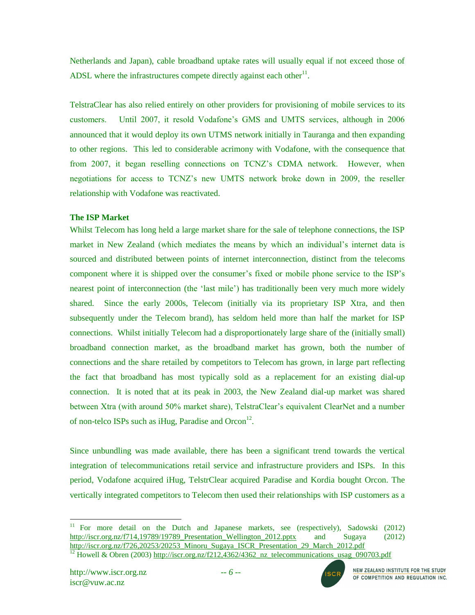Netherlands and Japan), cable broadband uptake rates will usually equal if not exceed those of ADSL where the infrastructures compete directly against each other $11$ .

TelstraClear has also relied entirely on other providers for provisioning of mobile services to its customers. Until 2007, it resold Vodafone"s GMS and UMTS services, although in 2006 announced that it would deploy its own UTMS network initially in Tauranga and then expanding to other regions. This led to considerable acrimony with Vodafone, with the consequence that from 2007, it began reselling connections on TCNZ"s CDMA network. However, when negotiations for access to TCNZ"s new UMTS network broke down in 2009, the reseller relationship with Vodafone was reactivated.

## **The ISP Market**

Whilst Telecom has long held a large market share for the sale of telephone connections, the ISP market in New Zealand (which mediates the means by which an individual"s internet data is sourced and distributed between points of internet interconnection, distinct from the telecoms component where it is shipped over the consumer"s fixed or mobile phone service to the ISP"s nearest point of interconnection (the "last mile") has traditionally been very much more widely shared. Since the early 2000s, Telecom (initially via its proprietary ISP Xtra, and then subsequently under the Telecom brand), has seldom held more than half the market for ISP connections. Whilst initially Telecom had a disproportionately large share of the (initially small) broadband connection market, as the broadband market has grown, both the number of connections and the share retailed by competitors to Telecom has grown, in large part reflecting the fact that broadband has most typically sold as a replacement for an existing dial-up connection. It is noted that at its peak in 2003, the New Zealand dial-up market was shared between Xtra (with around 50% market share), TelstraClear"s equivalent ClearNet and a number of non-telco ISPs such as iHug, Paradise and Orcon $^{12}$ .

Since unbundling was made available, there has been a significant trend towards the vertical integration of telecommunications retail service and infrastructure providers and ISPs. In this period, Vodafone acquired iHug, TelstrClear acquired Paradise and Kordia bought Orcon. The vertically integrated competitors to Telecom then used their relationships with ISP customers as a

 $\overline{a}$ 



<sup>&</sup>lt;sup>11</sup> For more detail on the Dutch and Japanese markets, see (respectively), Sadowski (2012) http://iscr.org.nz/f714,19789/19789 Presentation Wellington 2012.pptx and Sugaya (2012) [http://iscr.org.nz/f726,20253/20253\\_Minoru\\_Sugaya\\_ISCR\\_Presentation\\_29\\_March\\_2012.pdf](http://iscr.org.nz/f726,20253/20253_Minoru_Sugaya_ISCR_Presentation_29_March_2012.pdf)

 $\frac{12}{12}$  Howell & Obren (2003) [http://iscr.org.nz/f212,4362/4362\\_nz\\_telecommunications\\_usag\\_090703.pdf](http://iscr.org.nz/f212,4362/4362_nz_telecommunications_usag_090703.pdf)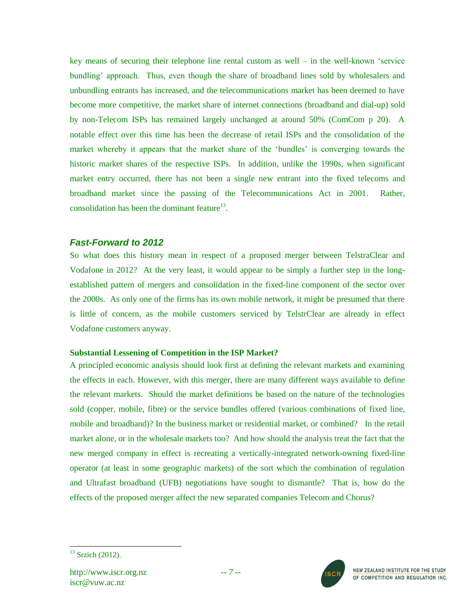key means of securing their telephone line rental custom as well – in the well-known "service bundling" approach. Thus, even though the share of broadband lines sold by wholesalers and unbundling entrants has increased, and the telecommunications market has been deemed to have become more competitive, the market share of internet connections (broadband and dial-up) sold by non-Telecom ISPs has remained largely unchanged at around 50% (ComCom p 20). A notable effect over this time has been the decrease of retail ISPs and the consolidation of the market whereby it appears that the market share of the "bundles" is converging towards the historic market shares of the respective ISPs. In addition, unlike the 1990s, when significant market entry occurred, there has not been a single new entrant into the fixed telecoms and broadband market since the passing of the Telecommunications Act in 2001. Rather, consolidation has been the dominant feature $^{13}$ .

# *Fast-Forward to 2012*

So what does this history mean in respect of a proposed merger between TelstraClear and Vodafone in 2012? At the very least, it would appear to be simply a further step in the longestablished pattern of mergers and consolidation in the fixed-line component of the sector over the 2000s. As only one of the firms has its own mobile network, it might be presumed that there is little of concern, as the mobile customers serviced by TelstrClear are already in effect Vodafone customers anyway.

## **Substantial Lessening of Competition in the ISP Market?**

A principled economic analysis should look first at defining the relevant markets and examining the effects in each. However, with this merger, there are many different ways available to define the relevant markets. Should the market definitions be based on the nature of the technologies sold (copper, mobile, fibre) or the service bundles offered (various combinations of fixed line, mobile and broadband)? In the business market or residential market, or combined? In the retail market alone, or in the wholesale markets too? And how should the analysis treat the fact that the new merged company in effect is recreating a vertically-integrated network-owning fixed-line operator (at least in some geographic markets) of the sort which the combination of regulation and Ultrafast broadband (UFB) negotiations have sought to dismantle? That is, how do the effects of the proposed merger affect the new separated companies Telecom and Chorus?



 $\overline{a}$  $13$  Srzich (2012).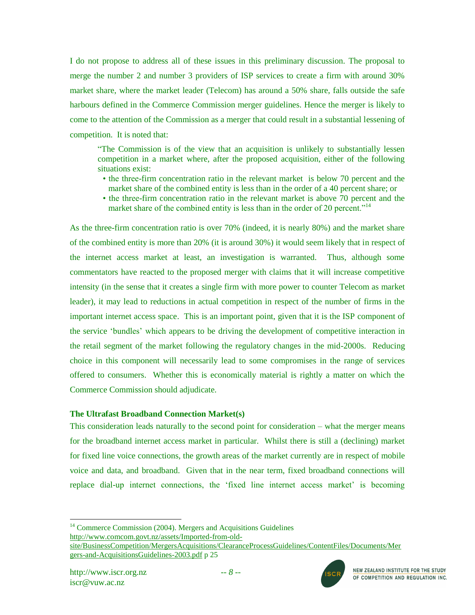I do not propose to address all of these issues in this preliminary discussion. The proposal to merge the number 2 and number 3 providers of ISP services to create a firm with around 30% market share, where the market leader (Telecom) has around a 50% share, falls outside the safe harbours defined in the Commerce Commission merger guidelines. Hence the merger is likely to come to the attention of the Commission as a merger that could result in a substantial lessening of competition. It is noted that:

"The Commission is of the view that an acquisition is unlikely to substantially lessen competition in a market where, after the proposed acquisition, either of the following situations exist:

- the three-firm concentration ratio in the relevant market is below 70 percent and the market share of the combined entity is less than in the order of a 40 percent share; or
- the three-firm concentration ratio in the relevant market is above 70 percent and the market share of the combined entity is less than in the order of 20 percent."<sup>14</sup>

As the three-firm concentration ratio is over 70% (indeed, it is nearly 80%) and the market share of the combined entity is more than 20% (it is around 30%) it would seem likely that in respect of the internet access market at least, an investigation is warranted. Thus, although some commentators have reacted to the proposed merger with claims that it will increase competitive intensity (in the sense that it creates a single firm with more power to counter Telecom as market leader), it may lead to reductions in actual competition in respect of the number of firms in the important internet access space. This is an important point, given that it is the ISP component of the service "bundles" which appears to be driving the development of competitive interaction in the retail segment of the market following the regulatory changes in the mid-2000s. Reducing choice in this component will necessarily lead to some compromises in the range of services offered to consumers. Whether this is economically material is rightly a matter on which the Commerce Commission should adjudicate.

## **The Ultrafast Broadband Connection Market(s)**

This consideration leads naturally to the second point for consideration – what the merger means for the broadband internet access market in particular. Whilst there is still a (declining) market for fixed line voice connections, the growth areas of the market currently are in respect of mobile voice and data, and broadband. Given that in the near term, fixed broadband connections will replace dial-up internet connections, the 'fixed line internet access market' is becoming

<sup>14</sup> Commerce Commission (2004). Mergers and Acquisitions Guidelines [http://www.comcom.govt.nz/assets/Imported-from-old](http://www.comcom.govt.nz/assets/Imported-from-old-site/BusinessCompetition/MergersAcquisitions/ClearanceProcessGuidelines/ContentFiles/Documents/Mergers-and-AcquisitionsGuidelines-2003.pdf)[site/BusinessCompetition/MergersAcquisitions/ClearanceProcessGuidelines/ContentFiles/Documents/Mer](http://www.comcom.govt.nz/assets/Imported-from-old-site/BusinessCompetition/MergersAcquisitions/ClearanceProcessGuidelines/ContentFiles/Documents/Mergers-and-AcquisitionsGuidelines-2003.pdf) [gers-and-AcquisitionsGuidelines-2003.pdf](http://www.comcom.govt.nz/assets/Imported-from-old-site/BusinessCompetition/MergersAcquisitions/ClearanceProcessGuidelines/ContentFiles/Documents/Mergers-and-AcquisitionsGuidelines-2003.pdf) p 25

 $\overline{a}$ 

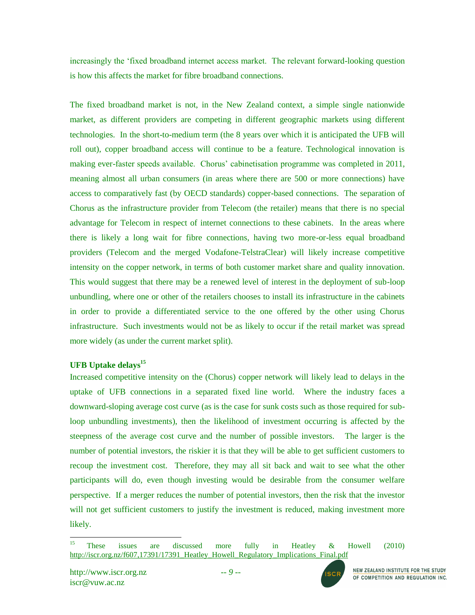increasingly the "fixed broadband internet access market. The relevant forward-looking question is how this affects the market for fibre broadband connections.

The fixed broadband market is not, in the New Zealand context, a simple single nationwide market, as different providers are competing in different geographic markets using different technologies. In the short-to-medium term (the 8 years over which it is anticipated the UFB will roll out), copper broadband access will continue to be a feature. Technological innovation is making ever-faster speeds available. Chorus' cabinetisation programme was completed in 2011, meaning almost all urban consumers (in areas where there are 500 or more connections) have access to comparatively fast (by OECD standards) copper-based connections. The separation of Chorus as the infrastructure provider from Telecom (the retailer) means that there is no special advantage for Telecom in respect of internet connections to these cabinets. In the areas where there is likely a long wait for fibre connections, having two more-or-less equal broadband providers (Telecom and the merged Vodafone-TelstraClear) will likely increase competitive intensity on the copper network, in terms of both customer market share and quality innovation. This would suggest that there may be a renewed level of interest in the deployment of sub-loop unbundling, where one or other of the retailers chooses to install its infrastructure in the cabinets in order to provide a differentiated service to the one offered by the other using Chorus infrastructure. Such investments would not be as likely to occur if the retail market was spread more widely (as under the current market split).

# **UFB Uptake delays<sup>15</sup>**

Increased competitive intensity on the (Chorus) copper network will likely lead to delays in the uptake of UFB connections in a separated fixed line world. Where the industry faces a downward-sloping average cost curve (as is the case for sunk costs such as those required for subloop unbundling investments), then the likelihood of investment occurring is affected by the steepness of the average cost curve and the number of possible investors. The larger is the number of potential investors, the riskier it is that they will be able to get sufficient customers to recoup the investment cost. Therefore, they may all sit back and wait to see what the other participants will do, even though investing would be desirable from the consumer welfare perspective. If a merger reduces the number of potential investors, then the risk that the investor will not get sufficient customers to justify the investment is reduced, making investment more likely.



<sup>15</sup> <sup>15</sup> These issues are discussed more fully in Heatley  $\&$  Howell (2010) [http://iscr.org.nz/f607,17391/17391\\_Heatley\\_Howell\\_Regulatory\\_Implications\\_Final.pdf](http://iscr.org.nz/f607,17391/17391_Heatley_Howell_Regulatory_Implications_Final.pdf)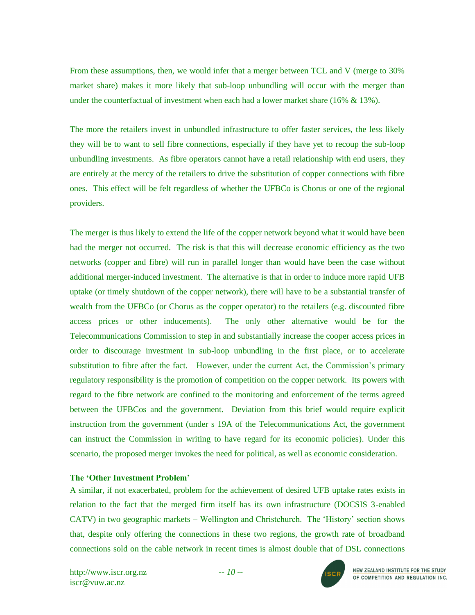From these assumptions, then, we would infer that a merger between TCL and V (merge to 30% market share) makes it more likely that sub-loop unbundling will occur with the merger than under the counterfactual of investment when each had a lower market share  $(16\% \& 13\%).$ 

The more the retailers invest in unbundled infrastructure to offer faster services, the less likely they will be to want to sell fibre connections, especially if they have yet to recoup the sub-loop unbundling investments. As fibre operators cannot have a retail relationship with end users, they are entirely at the mercy of the retailers to drive the substitution of copper connections with fibre ones. This effect will be felt regardless of whether the UFBCo is Chorus or one of the regional providers.

The merger is thus likely to extend the life of the copper network beyond what it would have been had the merger not occurred. The risk is that this will decrease economic efficiency as the two networks (copper and fibre) will run in parallel longer than would have been the case without additional merger-induced investment. The alternative is that in order to induce more rapid UFB uptake (or timely shutdown of the copper network), there will have to be a substantial transfer of wealth from the UFBCo (or Chorus as the copper operator) to the retailers (e.g. discounted fibre access prices or other inducements). The only other alternative would be for the Telecommunications Commission to step in and substantially increase the cooper access prices in order to discourage investment in sub-loop unbundling in the first place, or to accelerate substitution to fibre after the fact. However, under the current Act, the Commission's primary regulatory responsibility is the promotion of competition on the copper network. Its powers with regard to the fibre network are confined to the monitoring and enforcement of the terms agreed between the UFBCos and the government. Deviation from this brief would require explicit instruction from the government (under s 19A of the Telecommunications Act, the government can instruct the Commission in writing to have regard for its economic policies). Under this scenario, the proposed merger invokes the need for political, as well as economic consideration.

## **The 'Other Investment Problem'**

A similar, if not exacerbated, problem for the achievement of desired UFB uptake rates exists in relation to the fact that the merged firm itself has its own infrastructure (DOCSIS 3-enabled CATV) in two geographic markets – Wellington and Christchurch. The "History" section shows that, despite only offering the connections in these two regions, the growth rate of broadband connections sold on the cable network in recent times is almost double that of DSL connections

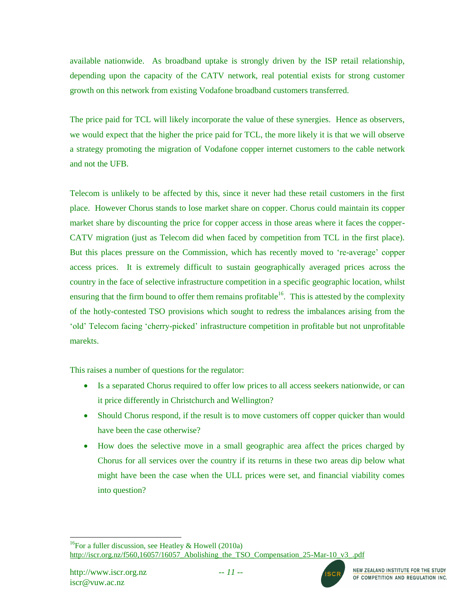available nationwide. As broadband uptake is strongly driven by the ISP retail relationship, depending upon the capacity of the CATV network, real potential exists for strong customer growth on this network from existing Vodafone broadband customers transferred.

The price paid for TCL will likely incorporate the value of these synergies. Hence as observers, we would expect that the higher the price paid for TCL, the more likely it is that we will observe a strategy promoting the migration of Vodafone copper internet customers to the cable network and not the UFB.

Telecom is unlikely to be affected by this, since it never had these retail customers in the first place. However Chorus stands to lose market share on copper. Chorus could maintain its copper market share by discounting the price for copper access in those areas where it faces the copper-CATV migration (just as Telecom did when faced by competition from TCL in the first place). But this places pressure on the Commission, which has recently moved to "re-average" copper access prices. It is extremely difficult to sustain geographically averaged prices across the country in the face of selective infrastructure competition in a specific geographic location, whilst ensuring that the firm bound to offer them remains profitable<sup>16</sup>. This is attested by the complexity of the hotly-contested TSO provisions which sought to redress the imbalances arising from the "old" Telecom facing "cherry-picked" infrastructure competition in profitable but not unprofitable marekts.

This raises a number of questions for the regulator:

- Is a separated Chorus required to offer low prices to all access seekers nationwide, or can it price differently in Christchurch and Wellington?
- Should Chorus respond, if the result is to move customers off copper quicker than would have been the case otherwise?
- How does the selective move in a small geographic area affect the prices charged by Chorus for all services over the country if its returns in these two areas dip below what might have been the case when the ULL prices were set, and financial viability comes into question?

l <sup>16</sup>For a fuller discussion, see Heatley & Howell (2010a) http://iscr.org.nz/f560,16057/16057 Abolishing the TSO Compensation 25-Mar-10 v3 .pdf

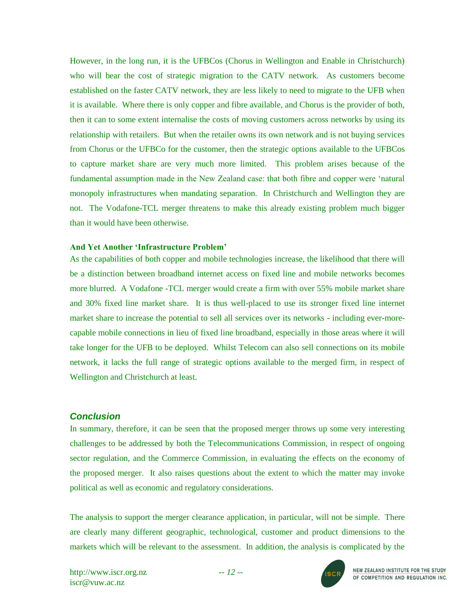However, in the long run, it is the UFBCos (Chorus in Wellington and Enable in Christchurch) who will bear the cost of strategic migration to the CATV network. As customers become established on the faster CATV network, they are less likely to need to migrate to the UFB when it is available. Where there is only copper and fibre available, and Chorus is the provider of both, then it can to some extent internalise the costs of moving customers across networks by using its relationship with retailers. But when the retailer owns its own network and is not buying services from Chorus or the UFBCo for the customer, then the strategic options available to the UFBCos to capture market share are very much more limited. This problem arises because of the fundamental assumption made in the New Zealand case: that both fibre and copper were "natural monopoly infrastructures when mandating separation. In Christchurch and Wellington they are not. The Vodafone-TCL merger threatens to make this already existing problem much bigger than it would have been otherwise.

#### **And Yet Another 'Infrastructure Problem'**

As the capabilities of both copper and mobile technologies increase, the likelihood that there will be a distinction between broadband internet access on fixed line and mobile networks becomes more blurred. A Vodafone -TCL merger would create a firm with over 55% mobile market share and 30% fixed line market share. It is thus well-placed to use its stronger fixed line internet market share to increase the potential to sell all services over its networks - including ever-morecapable mobile connections in lieu of fixed line broadband, especially in those areas where it will take longer for the UFB to be deployed. Whilst Telecom can also sell connections on its mobile network, it lacks the full range of strategic options available to the merged firm, in respect of Wellington and Christchurch at least.

## *Conclusion*

In summary, therefore, it can be seen that the proposed merger throws up some very interesting challenges to be addressed by both the Telecommunications Commission, in respect of ongoing sector regulation, and the Commerce Commission, in evaluating the effects on the economy of the proposed merger. It also raises questions about the extent to which the matter may invoke political as well as economic and regulatory considerations.

The analysis to support the merger clearance application, in particular, will not be simple. There are clearly many different geographic, technological, customer and product dimensions to the markets which will be relevant to the assessment. In addition, the analysis is complicated by the